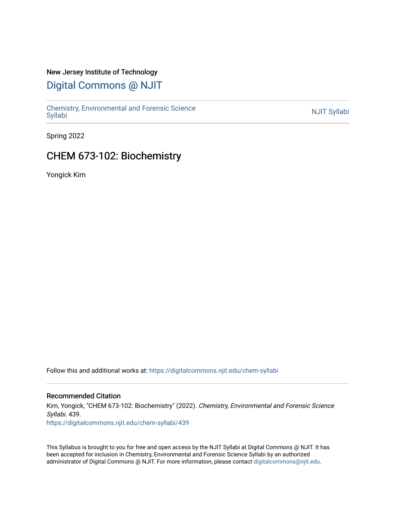### New Jersey Institute of Technology

# [Digital Commons @ NJIT](https://digitalcommons.njit.edu/)

Chemistry, Environmental and Forensic Science<br>Syllabi

Spring 2022

# CHEM 673-102: Biochemistry

Yongick Kim

Follow this and additional works at: [https://digitalcommons.njit.edu/chem-syllabi](https://digitalcommons.njit.edu/chem-syllabi?utm_source=digitalcommons.njit.edu%2Fchem-syllabi%2F439&utm_medium=PDF&utm_campaign=PDFCoverPages) 

#### Recommended Citation

Kim, Yongick, "CHEM 673-102: Biochemistry" (2022). Chemistry, Environmental and Forensic Science Syllabi. 439.

[https://digitalcommons.njit.edu/chem-syllabi/439](https://digitalcommons.njit.edu/chem-syllabi/439?utm_source=digitalcommons.njit.edu%2Fchem-syllabi%2F439&utm_medium=PDF&utm_campaign=PDFCoverPages) 

This Syllabus is brought to you for free and open access by the NJIT Syllabi at Digital Commons @ NJIT. It has been accepted for inclusion in Chemistry, Environmental and Forensic Science Syllabi by an authorized administrator of Digital Commons @ NJIT. For more information, please contact [digitalcommons@njit.edu.](mailto:digitalcommons@njit.edu)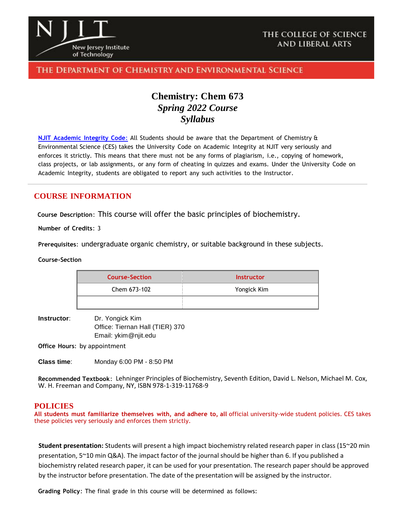

### THE DEPARTMENT OF CHEMISTRY AND ENVIRONMENTAL SCIENCE

# **Chemistry: Chem 673** *Spring 2022 Course Syllabus*

**NJIT [Academic](https://www.njit.edu/policies/sites/policies/files/academic-integrity-code.pdf) Integrity Code**: All Students should be aware that the Department of Chemistry & Environmental Science (CES) takes the University Code on Academic Integrity at NJIT very seriously and enforces it strictly. This means that there must not be any forms of plagiarism, i.e., copying of homework, class projects, or lab assignments, or any form of cheating in quizzes and exams. Under the University Code on Academic Integrity, students are obligated to report any such activities to the Instructor.

## **COURSE INFORMATION**

 **Course Description**: This course will offer the basic principles of biochemistry.

**Number of Credits**: 3

**Prerequisites**: undergraduate organic chemistry, or suitable background in these subjects.

**Course-Section**

| <b>Course-Section</b> | <b>Instructor</b> |  |
|-----------------------|-------------------|--|
| Chem 673-102          | Yongick Kim       |  |
|                       |                   |  |

**Instructor**: Dr. Yongick Kim Office: Tiernan Hall (TIER) 370 Email: ykim@njit.edu

**Office Hours**: by appointment

**Class time**: Monday 6:00 PM - 8:50 PM

**Recommended Textbook**: Lehninger Principles of Biochemistry, Seventh Edition, David L. Nelson, Michael M. Cox, W. H. Freeman and Company, NY, ISBN 978-1-319-11768-9

#### **POLICIES**

**All students must familiarize themselves with, and adhere to, all** official university-wide student policies. CES takes these policies very seriously and enforces them strictly.

**Student presentation:** Students will present a high impact biochemistry related research paper in class (15~20 min presentation, 5~10 min Q&A). The impact factor of the journal should be higher than 6. If you published a biochemistry related research paper, it can be used for your presentation. The research paper should be approved by the instructor before presentation. The date of the presentation will be assigned by the instructor.

**Grading Policy**: The final grade in this course will be determined as follows: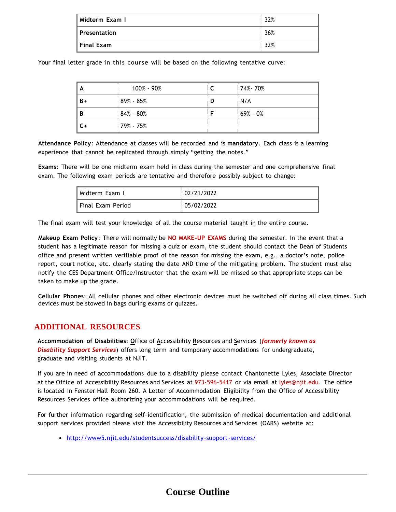| Midterm Exam I | 32% |
|----------------|-----|
| Presentation   | 36% |
| Final Exam     | 32% |

Your final letter grade in this course will be based on the following tentative curve:

| A  | 100% - 90% |   | 74%-70%      |
|----|------------|---|--------------|
| B+ | 89% - 85%  | D | N/A          |
| B  | 84% - 80%  |   | $69\% - 0\%$ |
|    | 79% - 75%  |   |              |

**Attendance Policy**: Attendance at classes will be recorded and is **mandatory**. Each class is a learning experience that cannot be replicated through simply "getting the notes."

**Exams**: There will be one midterm exam held in class during the semester and one comprehensive final exam. The following exam periods are tentative and therefore possibly subject to change:

| l Midterm Exam I    | 02/21/2022 |
|---------------------|------------|
| I Final Exam Period | 05/02/2022 |

The final exam will test your knowledge of all the course material taught in the entire course.

**Makeup Exam Policy**: There will normally be **NO MAKE-UP EXAMS** during the semester. In the event that a student has a legitimate reason for missing a quiz or exam, the student should contact the Dean of Students office and present written verifiable proof of the reason for missing the exam, e.g., a doctor's note, police report, court notice, etc. clearly stating the date AND time of the mitigating problem. The student must also notify the CES Department Office/Instructor that the exam will be missed so that appropriate steps can be taken to make up the grade.

**Cellular Phones**: All cellular phones and other electronic devices must be switched off during all class times. Such devices must be stowed in bags during exams or quizzes.

#### **ADDITIONAL RESOURCES**

**Accommodation of Disabilities**: **O**ffice of **A**ccessibility **R**esources and **S**ervices (*formerly known as Disability Support Services*) offers long term and temporary accommodations for undergraduate, graduate and visiting students at NJIT.

If you are in need of accommodations due to a disability please contact Chantonette Lyles, Associate Director at the Office of Accessibility Resources and Services at 973-596-5417 or via email at [lyles@njit.edu.](mailto:lyles@njit.edu) The office is located in Fenster Hall Room 260. A Letter of Accommodation Eligibility from the Office of Accessibility Resources Services office authorizing your accommodations will be required.

For further information regarding self-identification, the submission of medical documentation and additional support services provided please visit the Accessibility Resources and Services (OARS) website at:

[http://www5.njit.edu/studentsuccess/disability-support-services/](http://www.njit.edu/studentsuccess/accessibility/)